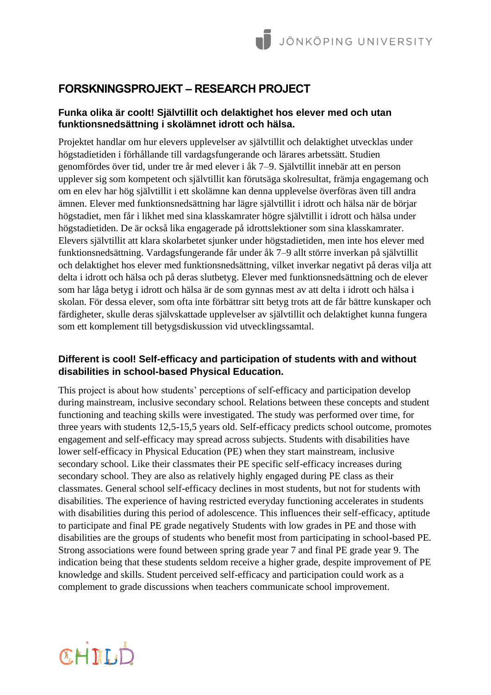# **FORSKNINGSPROJEKT – RESEARCH PROJECT**

#### **Funka olika är coolt! Självtillit och delaktighet hos elever med och utan funktionsnedsättning i skolämnet idrott och hälsa.**

Projektet handlar om hur elevers upplevelser av självtillit och delaktighet utvecklas under högstadietiden i förhållande till vardagsfungerande och lärares arbetssätt. Studien genomfördes över tid, under tre år med elever i åk 7–9. Självtillit innebär att en person upplever sig som kompetent och självtillit kan förutsäga skolresultat, främja engagemang och om en elev har hög självtillit i ett skolämne kan denna upplevelse överföras även till andra ämnen. Elever med funktionsnedsättning har lägre självtillit i idrott och hälsa när de börjar högstadiet, men får i likhet med sina klasskamrater högre självtillit i idrott och hälsa under högstadietiden. De är också lika engagerade på idrottslektioner som sina klasskamrater. Elevers självtillit att klara skolarbetet sjunker under högstadietiden, men inte hos elever med funktionsnedsättning. Vardagsfungerande får under åk 7–9 allt större inverkan på självtillit och delaktighet hos elever med funktionsnedsättning, vilket inverkar negativt på deras vilja att delta i idrott och hälsa och på deras slutbetyg. Elever med funktionsnedsättning och de elever som har låga betyg i idrott och hälsa är de som gynnas mest av att delta i idrott och hälsa i skolan. För dessa elever, som ofta inte förbättrar sitt betyg trots att de får bättre kunskaper och färdigheter, skulle deras självskattade upplevelser av självtillit och delaktighet kunna fungera som ett komplement till betygsdiskussion vid utvecklingssamtal.

## **Different is cool! Self-efficacy and participation of students with and without disabilities in school-based Physical Education.**

This project is about how students' perceptions of self-efficacy and participation develop during mainstream, inclusive secondary school. Relations between these concepts and student functioning and teaching skills were investigated. The study was performed over time, for three years with students 12,5-15,5 years old. Self-efficacy predicts school outcome, promotes engagement and self-efficacy may spread across subjects. Students with disabilities have lower self-efficacy in Physical Education (PE) when they start mainstream, inclusive secondary school. Like their classmates their PE specific self-efficacy increases during secondary school. They are also as relatively highly engaged during PE class as their classmates. General school self-efficacy declines in most students, but not for students with disabilities. The experience of having restricted everyday functioning accelerates in students with disabilities during this period of adolescence. This influences their self-efficacy, aptitude to participate and final PE grade negatively Students with low grades in PE and those with disabilities are the groups of students who benefit most from participating in school-based PE. Strong associations were found between spring grade year 7 and final PE grade year 9. The indication being that these students seldom receive a higher grade, despite improvement of PE knowledge and skills. Student perceived self-efficacy and participation could work as a complement to grade discussions when teachers communicate school improvement.